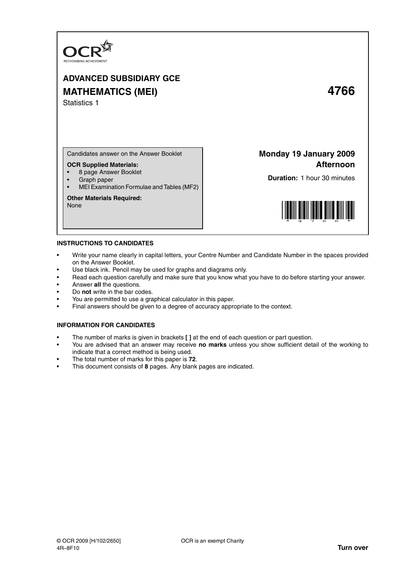

# **ADVANCED SUBSIDIARY GCE MATHEMATICS (MEI) 4766** Statistics 1

Candidates answer on the Answer Booklet

### **OCR Supplied Materials:**

- 8 page Answer Booklet
- Graph paper
- MEI Examination Formulae and Tables (MF2)

#### **Other Materials Required:** None

**Monday 19 January 2009 Afternoon**

**Duration:** 1 hour 30 minutes



#### **INSTRUCTIONS TO CANDIDATES**

- Write your name clearly in capital letters, your Centre Number and Candidate Number in the spaces provided on the Answer Booklet.
- Use black ink. Pencil may be used for graphs and diagrams only.
- Read each question carefully and make sure that you know what you have to do before starting your answer.
- Answer **all** the questions.
- Do **not** write in the bar codes.
- You are permitted to use a graphical calculator in this paper.
- Final answers should be given to a degree of accuracy appropriate to the context.

#### **INFORMATION FOR CANDIDATES**

- The number of marks is given in brackets **[ ]** at the end of each question or part question.
- You are advised that an answer may receive **no marks** unless you show sufficient detail of the working to indicate that a correct method is being used.
- The total number of marks for this paper is **72**.
- This document consists of **8** pages. Any blank pages are indicated.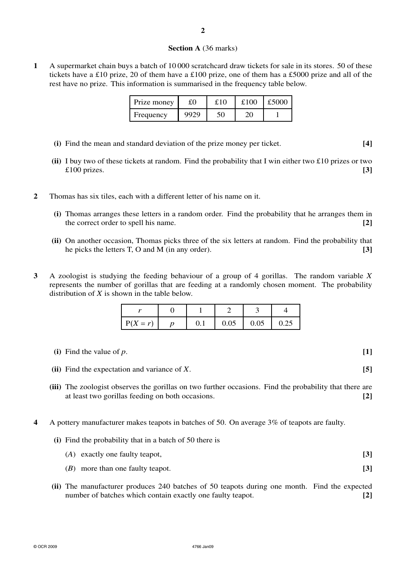#### **Section A** (36 marks)

**1** A supermarket chain buys a batch of 10 000 scratchcard draw tickets for sale in its stores. 50 of these tickets have a £10 prize, 20 of them have a £100 prize, one of them has a £5000 prize and all of the rest have no prize. This information is summarised in the frequency table below.

| Prize money | £O   | £10 | £100 | £5000 |
|-------------|------|-----|------|-------|
| Frequency   | 9929 |     | 20   |       |

- **(i)** Find the mean and standard deviation of the prize money per ticket. **[4]**
- **(ii)** I buy two of these tickets at random. Find the probability that I win either two £10 prizes or two £100 prizes. **[3]**
- **2** Thomas has six tiles, each with a different letter of his name on it.
	- **(i)** Thomas arranges these letters in a random order. Find the probability that he arranges them in the correct order to spell his name. **[2]**
	- **(ii)** On another occasion, Thomas picks three of the six letters at random. Find the probability that he picks the letters T, O and M (in any order). **[3]**
- **3** A zoologist is studying the feeding behaviour of a group of 4 gorillas. The random variable *X* represents the number of gorillas that are feeding at a randomly chosen moment. The probability distribution of *X* is shown in the table below.

| $P(X = r)$ | V. I | 0.05 | 0.05 | 0.25 |
|------------|------|------|------|------|

- **(i)** Find the value of *p*.  $[1]$
- **(ii)** Find the expectation and variance of *X*. **[5]**
- **(iii)** The zoologist observes the gorillas on two further occasions. Find the probability that there are at least two gorillas feeding on both occasions. **[2]**
- **4** A pottery manufacturer makes teapots in batches of 50. On average 3% of teapots are faulty.
	- **(i)** Find the probability that in a batch of 50 there is

|  | (A) exactly one faulty teapot, |  |
|--|--------------------------------|--|
|--|--------------------------------|--|

- (*B*) more than one faulty teapot. **[3]**
- **(ii)** The manufacturer produces 240 batches of 50 teapots during one month. Find the expected number of batches which contain exactly one faulty teapot. **[2]**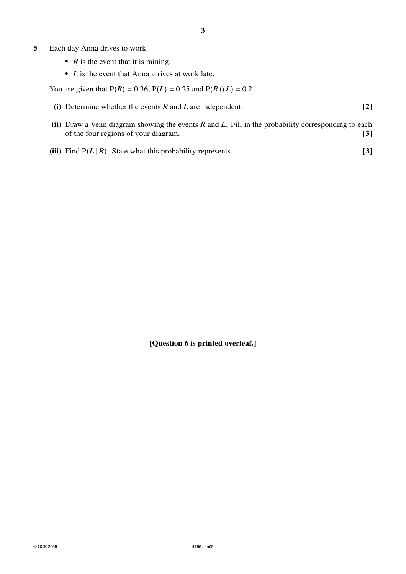- **5** Each day Anna drives to work.
	- **•** *R* is the event that it is raining.
	- **•** *L* is the event that Anna arrives at work late.

You are given that  $P(R) = 0.36$ ,  $P(L) = 0.25$  and  $P(R \cap L) = 0.2$ .

- **(i)** Determine whether the events *R* and *L* are independent. **[2]**
- **(ii)** Draw a Venn diagram showing the events *R* and *L*. Fill in the probability corresponding to each of the four regions of your diagram. **[3]**
- (iii) Find  $P(L | R)$ . State what this probability represents. **[3]**

**[Question 6 is printed overleaf.]**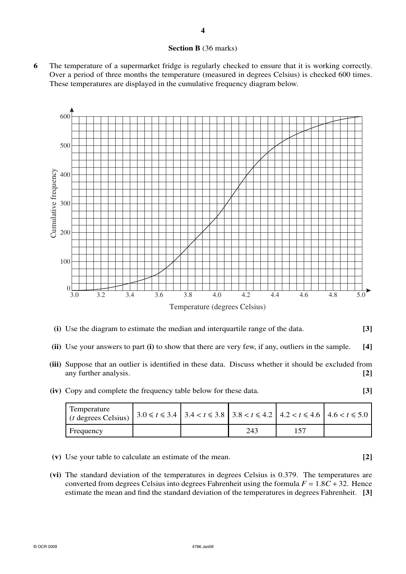### **Section B** (36 marks)

**6** The temperature of a supermarket fridge is regularly checked to ensure that it is working correctly. Over a period of three months the temperature (measured in degrees Celsius) is checked 600 times. These temperatures are displayed in the cumulative frequency diagram below.



- **(i)** Use the diagram to estimate the median and interquartile range of the data. **[3]**
- **(ii)** Use your answers to part **(i)** to show that there are very few, if any, outliers in the sample. **[4]**
- **(iii)** Suppose that an outlier is identified in these data. Discuss whether it should be excluded from any further analysis. **[2]**
- **(iv)** Copy and complete the frequency table below for these data. **[3]**

| Temperature<br>$\int$ ( <i>t</i> degrees Celsius) | $3.0 \le t \le 3.4$   $3.4 < t \le 3.8$   $3.8 < t \le 4.2$   $4.2 < t \le 4.6$   $4.6 < t \le 5.0$ |     |  |
|---------------------------------------------------|-----------------------------------------------------------------------------------------------------|-----|--|
| Frequency                                         |                                                                                                     | 243 |  |

- **(v)** Use your table to calculate an estimate of the mean. **[2]**
- **(vi)** The standard deviation of the temperatures in degrees Celsius is 0.379. The temperatures are converted from degrees Celsius into degrees Fahrenheit using the formula  $F = 1.8C + 32$ . Hence estimate the mean and find the standard deviation of the temperatures in degrees Fahrenheit. **[3]**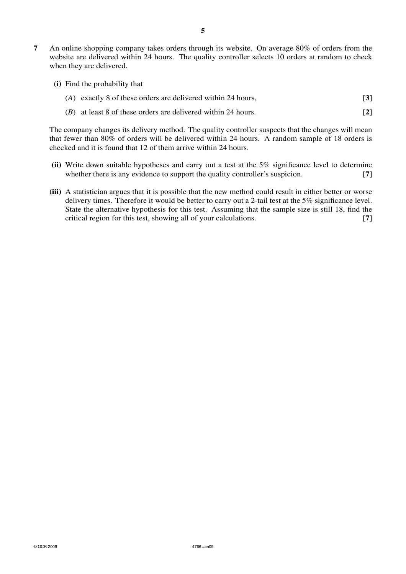- **7** An online shopping company takes orders through its website. On average 80% of orders from the website are delivered within 24 hours. The quality controller selects 10 orders at random to check when they are delivered.
	- **(i)** Find the probability that
		- (*A*) exactly 8 of these orders are delivered within 24 hours, **[3]**
		- (*B*) at least 8 of these orders are delivered within 24 hours. **[2]**

The company changes its delivery method. The quality controller suspects that the changes will mean that fewer than 80% of orders will be delivered within 24 hours. A random sample of 18 orders is checked and it is found that 12 of them arrive within 24 hours.

- **(ii)** Write down suitable hypotheses and carry out a test at the 5% significance level to determine whether there is any evidence to support the quality controller's suspicion. **[7]**
- **(iii)** A statistician argues that it is possible that the new method could result in either better or worse delivery times. Therefore it would be better to carry out a 2-tail test at the 5% significance level. State the alternative hypothesis for this test. Assuming that the sample size is still 18, find the critical region for this test, showing all of your calculations. **[7]**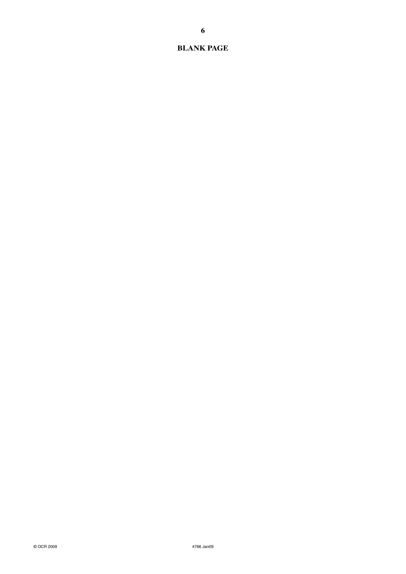## **BLANK PAGE**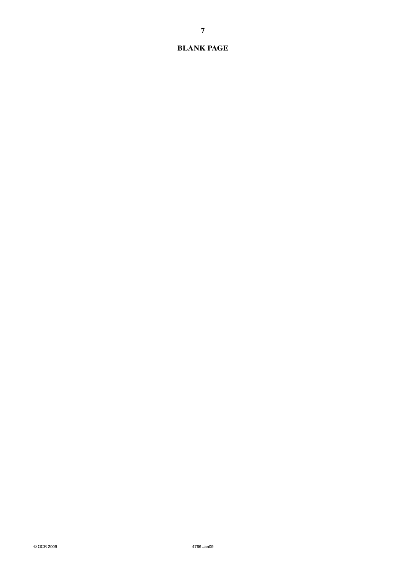## **BLANK PAGE**